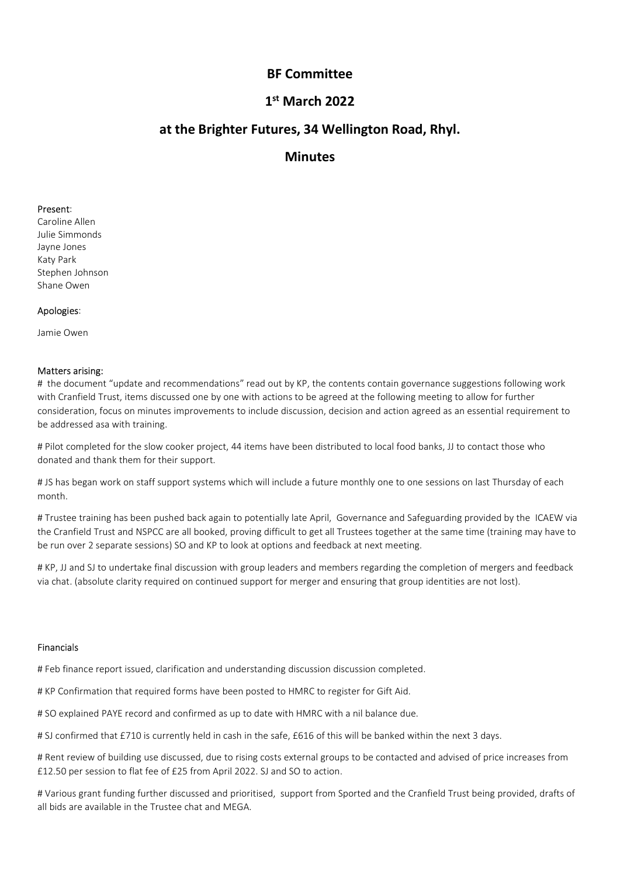# $1<sup>st</sup>$  March 2022

# BF Committee<br>1<sup>st</sup> March 2022<br>tures, 34 Wellington Road, Rhyl. SF Committee<br><sup>st</sup> March 2022<br>ures, 34 Wellington Road, Rhyl.<br>Minutes BF Committee<br>1<sup>st</sup> March 2022<br>at the Brighter Futures, 34 Wellington Road, Rhyl.<br>Minutes

**Minutes** 

**BF Committee<br>
1st March 2022<br>
at the Brighter Futures, 34 Wellington Roa<br>
Minutes<br>
Present:<br>
Caroline Allen<br>
Julie Simmonds<br>
Alaye Jones<br>
Katy Park<br>
Stephen Johnson<br>
Shane Owen BF Committee<br>
1<sup>st</sup> March 2022**<br> **at the Brighter Futures, 34 Wellington R<br>
Minutes<br>
Present:<br>
Caroline Allen<br>
Julie Simmonds<br>
Jayne Jones<br>
Stephen Johnson<br>
Shane Owen<br>
Anologies: BF Committee<br>
1<sup>st</sup> March 2022<br>
at the Brighter Futures, 34 Wellington Represent:<br>
Caroline Allen<br>
Present:<br>
Caroline Allen<br>
Ally Birmonds<br>
Katy Park<br>
Katy Park<br>
Katy Park<br>
Stephen Johnson<br>
Shane Owen<br>
Apologies: BF Committee<br>
1<sup>st</sup> March 2022<br>
at the Brighter Futures, 34 Wellington R<br>
Minutes<br>
Present:<br>
Caroline Allen<br>
Jayre Lons<br>
Staty Park<br>
Stephen Johnson<br>
Shane Owen<br>
Apologies:<br>
Jamie Owen BF Committee<br>
1<sup>st</sup> March 2022<br>
at the Brighter Futures, 34 Wellington Roa<br>
Minutes<br>
Present:<br>
Caroline Allen<br>
Julie Simmonds<br>
Jayne Jones<br>
Stephen Johnson<br>
Share Owen<br>
Apologies:<br>
Amazone Chen BF Committee<br>
1<sup>st</sup> March 2022**<br> **at the Brighter Futures, 34 Wellington Ro<br>
Minutes<br>
Present:<br>
Caroline Allen<br>
Present:<br>
Caroline Allen<br>
Minutes<br>
Shane Owen<br>
Shane Owen<br>
Apologies:<br>
Jamie Owen<br>
Apologies:<br>
Jamie Owen** 

BF Committee<br>
1<sup>st</sup> March 2022<br>
at the Brighter Futures, 34 Wellington Ro<br>
Minutes<br>
Present:<br>
Caroline Allen<br>
Julie Simmonds<br>
Jamie Owen<br>
Apologies:<br>
Jamie Owen<br>
Apologies:<br>
Jamie Owen<br>
Matters arising:<br> *A*len decommendat **art the Brighter Futures, 34 Wellington Roam**<br> **Minutes**<br> **Present:**<br>
Caroline Allen<br>
Julie Simmonds<br>
Jayne Jones<br>
Stephen Johnson<br>
Stape Jones<br>
Stephen Johnson<br>
Apologies:<br>
Jamie Owen<br> **Apologies:**<br>
Jamie Owen<br>
Apologies **at the Brighter Futures, 34 Wellington Road, Rhyl.**<br> **Minutes**<br> **C**roine Alem<br>
Caroline Alem<br>
Subjections Alem<br>
Subjections of the document "update and recommendations" read out by KP, the contents contain governance sugg **Present:**<br>
Tracariane Allen<br>
Idule Simmonds<br>
Iduly Park<br>
Kary Park<br>
Kary Park<br>
Stephen Johnson<br> **Matters arising:**<br> **Matters arising:**<br> **Matters arising:**<br> **Matters arising:**<br> **Matters arising:**<br> **Matters arising:**<br>
Arisi **Consideration, focus on minutes improvements in the consideration, focus on minutes improvements of the consideration, focus on minutes improvements to include discussion, consideration, focus on minutes improvements to i Present:**<br>Caroline Allen<br>Julie Simmonds<br>Are Jonks<br>Stephen Johnson<br>Apologies:<br>Jamie Owen<br>Matters arising:<br>Apologies:<br>Jamie Owen<br>Matters arising:<br>discussed as a with training.<br>with Cranfield Trust, items discussed one by on **Present:**<br>Caroline Allen<br>Jayne Jones<br>Jayne Jones<br>Applare Diven<br>Applare Diven<br>Stephen Johnson<br>Matters arising:<br>Matters arising:<br>Matters arising:<br>with Cranfield Trust, terms discussed one by one with actions to be agreed at **Present:**<br> **Present:**<br>
Caroline Allen<br>
Caroline Allen<br>
Share Jones<br>
Katky Park<br>
Katky Park<br>
Katky Park<br>
Share Owen<br> **Apologies:**<br>
<br> **Americant Caroline Allen<br>
Share Owen**<br> **Matters arising:**<br>
<br> **#** the document "update an Largine Monte<br>Matters arising:<br>Stapen Johnson<br>Matters arising:<br>Jame Owen<br>Hite document "update and recommendations" read out by KP, the contents contain governance suggestions following work<br>with Cranfield Trust, theres di Kay last<br>Analy are Oven<br>Apologies:<br>Apologies:<br>Apologies:<br>Analy Oven pushed Trust, items discussed one by one with actions to be agreed at the following meeting to allow for further<br>All the document "update and discussed on Stephen Johnson<br>Matters arising:<br>Thante Owen<br>Matters arising:<br>Thante Cranchield Trust, them seleccesed one by one with actions to be agreed at the following meeting to allow for further<br>with Cranfield Trust, them seleccese Shane Owen<br>**Apologies:**<br>**Apologies:**<br>**Matters arising:**<br>**Matters arising:**<br>Which cannel are "update and recommendations" read out by  $\mathbb{K}^p$ , the contents contain governance suggestions following work<br>with Cranfield Tru Apologies:<br>
Matters arising:<br>
Matters arising:<br>
Matters arising:<br>
Althe document "update and recommendations" read out by KP, the contents contain governance suggestions following work<br>
Arthe document "update and situating lamie Owen<br>**Matters arising:**<br>**Matters arising:**<br>
We advertise that there shows are one by one with actions to che asseed at the following meeting to allow for further<br>
with Cranfield Trust, there shows continued supporten

month.

consideration, focus on minutes improvements to include discussion, decision and action agreed as an essential requirement to be addressed asa with training.<br>H Pliot completed for the slow cooker project, 44 items have bee # Pliot completed for the slow cooker project, 44 items have been distributed to local food banks, JJ to contact those who<br>donated and thank them for their support.<br>H JS has been pushed back again to potentially late April donated and thank them for their support.<br>
All is has been pushed back again to potentially late April, Governance and Safeguarding provided by the ICAEW via<br>
month.<br>
month.<br>
Morther training has been pushed back again to # JS has began work on staff support systems which will include a future monthly one to one sessions on last Thursday of each<br>month.<br>
In Trustee training has been pushed back again to potentially late April, Governance and month.<br>The Trustee training has been pushed back again to potentially late April, Governance and Sateguarding provided by the ICAEW via<br>The Trattered Trust and NSPCC are all booked, proving difficult to get all Trustees to # Trustee training has been pushed back again to potentially late April, Governance and Safeguarding provided by the ICAEW via<br>the Crofiled Trust and NSPCC are all booked, proving difficult to get all Trustees together at

be run over 2 separate sessions) SO and NP to look at options and reedoack at next meeting.<br>
# KP, JJ and SJ to undertake final discussion with group leaders and members regarding the completion of mergers and feedbat<br>
# K

# Financials

the Canniel Trist and no-stock are all toosted, prioritics grandical to get all ristness rogerier at me same time (training may nave to the current of the control of the control of the control of the Cranchiele of the KP,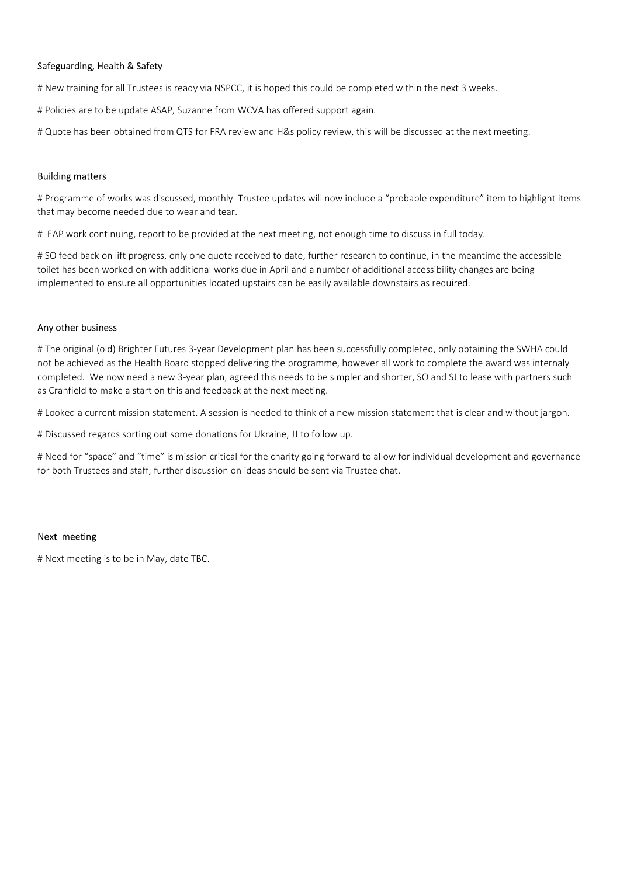Safeguarding, Health & Safety<br># New training for all Trustees is ready via NSPCC, it is hoped this could be completed within the next 3 w<br># Policies are to be update ASAP, Suzanne from WCVA has offered support again.<br># Quo Safeguarding, Health & Safety<br># New training for all Trustees is ready via NSPCC, it is hoped this could be completed within the next 3 weeks.<br># Policies are to be update ASAP, Suzanne from WCVA has offered support again.<br> Safeguarding, Health & Safety<br># New training for all Trustees is ready via NSPCC, it is hoped this could be completed within the next 3 weeks.<br># Policies are to be update ASAP, Suzanne from WCVA has offered support again.<br>

Safeguarding, Health & Safety<br># New training for all Trustees is ready via NSPCC, it is hoped this could be completed within the next 3 weeks.<br># Policies are to be update ASAP, Suzanne from WCVA has offered support again.<br> Safeguarding, Health & Safety<br>
# New training for all Trustees is ready via NSPCC, it is hoped this could be completed with<br>
# Policies are to be update ASAP, Suzanne from WCVA has offered support again.<br>
# Quote has been **Safeguarding, Health & Safety**<br># New training for all Trustees is ready via NSPCC, it is hoped this could be completed within the next 3 weeks.<br># Outdies are to be update ASAP, Suzame from WCVA has offered support again.<br>

**Safeguarding, Health & Safety<br>
# New training for all Trustees is ready via NSPCC, it is hoped this could be completed within the next 3 weeks.<br>
# Policies are to be update ASAP, Suzanne from WCVA has offered support agai Safeguarding, Health & Safety**<br>
# New training for all Trustees is ready via NSPCC, it is hoped this could be completed within the next 3 weeks.<br>
# Policies are to be update ASAP, Suzanne from WCVA has offered support aga **Safeguarding, Health & Safety**<br># New training for all Trustees is ready via NSPCC, it is hoped this could be completed within the next 3 weeks.<br># Quote has been obtained from QTS for FRA review and H&s policy review, this Safeguarding, Health & Safety<br>
If New training for all Trustees is ready via NSPCC, it is hoped this could be completed within the next a weeks.<br>
If Policies are to be update ASAP, Suzanne from WCVA has offered support aga **is deguarding, Health & Safety**<br> **if Now training for all Trustees is ready via NSPCC, it is hoped this could be completed within the next a weeks.**<br> **if Policies are to be update ASAP, Suzanne from WCVA has offered suppo** 

Sareguarding, riearth & Sarety<br>
A New training for all Trustees is ready via NSPCC, it is hoped this could be completed within<br>
A Policies are to be update ASAP, Suzanne from WCVA has offered support again.<br>
A Quote has be meet training tor all Trustees is ready via noix-cut, it is noped this could be completed within the next is weeks.<br>A Policies are to be update ASAP, Suzanne from WCVA has offered support again.<br>However has been obtained f # Policies are to be update ASAP, Suzanne from WCVA has offered support again.<br>
# Quote has been obtained from QTS for FRA review and H&s policy review, this will be discussed at the next meeting.<br> **Building matters**<br>
# Pu dependent of the state of the state of the state of the state of the state of the state of the state meeting.<br> **Building matters**<br> **Building matters**<br> **Building matters**<br> **Building matters**<br> **EVAN work continuing, report t** If Quote has been obtained from QTS for FRA review and H&s policy review, this will be discussed at the next meeting.<br>
Building matters<br>
If Programme of works was discussed, monthly Trustee updates will now include a "prob **Building matters**<br># Programme of works was discussed, monthly Trustee updates will now include a "probable expenditure" item to highlight items<br>that may become needed due to wear and tear.<br>H FAP work continuing, report to Building matters<br>**If Programme of works was discussed, monthly Trustee updates will now include a "probable expenditure" item to highlight items<br>That may become needed due to wear and tear.<br>High work continuing, report to** # Programme of works was discussed, monthly Trustee updates will now include a "probable expenditure" item to highlight items<br># taP work continuing, report to be provided at the next meeting, not enough time to discuss in that may become needed due to wear and tear.<br>If SAP work continuing, report to be provided at the next meeting, not enough time to discuss in full today.<br>If SO feed back on lift progress, only one quote received to date, f implemented to ensure all opportunities located upstairs can be easily available downst<br>Any other business<br># The original (old) Brighter Futures 3-year Development plan has been successfully con<br>not be achieved as the Heal Any other business<br># The original (old) Brighter Futures 3-year Development plan has been successfully completed, only obtaining the SW<br>not be achieved as the Helath Board stopped delivering the programme, however all work